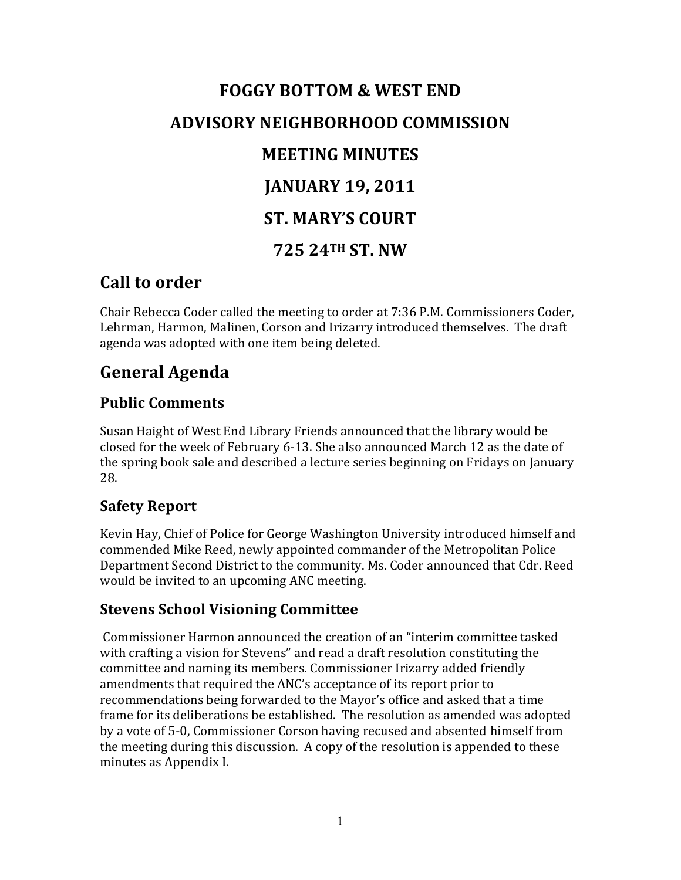# **FOGGY BOTTOM & WEST END ADVISORY NEIGHBORHOOD COMMISSION MEETING MINUTES JANUARY 19, 2011 ST. MARY'S COURT 725 24TH ST. NW**

### **Call to order**

Chair Rebecca Coder called the meeting to order at 7:36 P.M. Commissioners Coder, Lehrman, Harmon, Malinen, Corson and Irizarry introduced themselves. The draft agenda was adopted with one item being deleted.

## **General Agenda**

### **Public Comments**

Susan Haight of West End Library Friends announced that the library would be closed for the week of February 6-13. She also announced March 12 as the date of the spring book sale and described a lecture series beginning on Fridays on January 28. 

### **Safety Report**

Kevin Hay, Chief of Police for George Washington University introduced himself and commended Mike Reed, newly appointed commander of the Metropolitan Police Department Second District to the community. Ms. Coder announced that Cdr. Reed would be invited to an upcoming ANC meeting.

#### **Stevens School Visioning Committee**

Commissioner Harmon announced the creation of an "interim committee tasked with crafting a vision for Stevens" and read a draft resolution constituting the committee and naming its members. Commissioner Irizarry added friendly amendments that required the ANC's acceptance of its report prior to recommendations being forwarded to the Mayor's office and asked that a time frame for its deliberations be established. The resolution as amended was adopted by a vote of 5-0, Commissioner Corson having recused and absented himself from the meeting during this discussion. A copy of the resolution is appended to these minutes as Appendix I.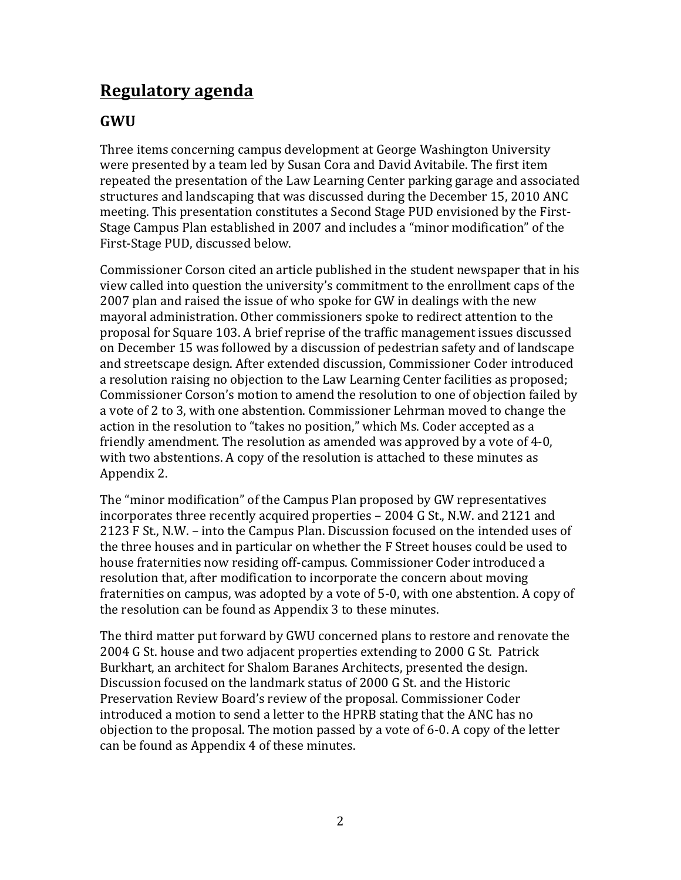### **Regulatory agenda**

### **GWU**

Three items concerning campus development at George Washington University were presented by a team led by Susan Cora and David Avitabile. The first item repeated the presentation of the Law Learning Center parking garage and associated structures and landscaping that was discussed during the December 15, 2010 ANC meeting. This presentation constitutes a Second Stage PUD envisioned by the First-Stage Campus Plan established in 2007 and includes a "minor modification" of the First-Stage PUD, discussed below.

Commissioner Corson cited an article published in the student newspaper that in his view called into question the university's commitment to the enrollment caps of the 2007 plan and raised the issue of who spoke for GW in dealings with the new mayoral administration. Other commissioners spoke to redirect attention to the proposal for Square 103. A brief reprise of the traffic management issues discussed on December 15 was followed by a discussion of pedestrian safety and of landscape and streetscape design. After extended discussion, Commissioner Coder introduced a resolution raising no objection to the Law Learning Center facilities as proposed; Commissioner Corson's motion to amend the resolution to one of objection failed by a vote of 2 to 3, with one abstention. Commissioner Lehrman moved to change the action in the resolution to "takes no position," which Ms. Coder accepted as a friendly amendment. The resolution as amended was approved by a vote of 4-0, with two abstentions. A copy of the resolution is attached to these minutes as Appendix 2.

The "minor modification" of the Campus Plan proposed by GW representatives incorporates three recently acquired properties – 2004 G St., N.W. and 2121 and 2123 F St., N.W. – into the Campus Plan. Discussion focused on the intended uses of the three houses and in particular on whether the F Street houses could be used to house fraternities now residing off-campus. Commissioner Coder introduced a resolution that, after modification to incorporate the concern about moving fraternities on campus, was adopted by a vote of 5-0, with one abstention. A copy of the resolution can be found as Appendix 3 to these minutes.

The third matter put forward by GWU concerned plans to restore and renovate the 2004 G St. house and two adjacent properties extending to 2000 G St. Patrick Burkhart, an architect for Shalom Baranes Architects, presented the design. Discussion focused on the landmark status of 2000 G St. and the Historic Preservation Review Board's review of the proposal. Commissioner Coder introduced a motion to send a letter to the HPRB stating that the ANC has no objection to the proposal. The motion passed by a vote of  $6-0$ . A copy of the letter can be found as Appendix 4 of these minutes.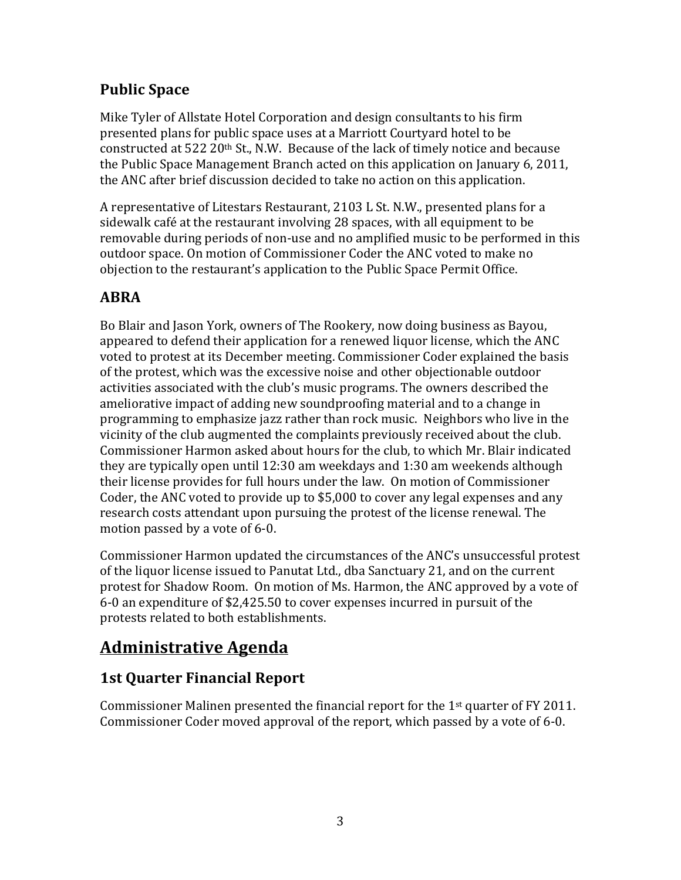### **Public Space**

Mike Tyler of Allstate Hotel Corporation and design consultants to his firm presented plans for public space uses at a Marriott Courtyard hotel to be constructed at  $522\,20$ <sup>th</sup> St., N.W. Because of the lack of timely notice and because the Public Space Management Branch acted on this application on January 6, 2011, the ANC after brief discussion decided to take no action on this application.

A representative of Litestars Restaurant, 2103 L St. N.W., presented plans for a sidewalk café at the restaurant involving 28 spaces, with all equipment to be removable during periods of non-use and no amplified music to be performed in this outdoor space. On motion of Commissioner Coder the ANC voted to make no objection to the restaurant's application to the Public Space Permit Office.

### **ABRA**

Bo Blair and Jason York, owners of The Rookery, now doing business as Bayou, appeared to defend their application for a renewed liquor license, which the ANC voted to protest at its December meeting. Commissioner Coder explained the basis of the protest, which was the excessive noise and other objectionable outdoor activities associated with the club's music programs. The owners described the ameliorative impact of adding new soundproofing material and to a change in programming to emphasize jazz rather than rock music. Neighbors who live in the vicinity of the club augmented the complaints previously received about the club. Commissioner Harmon asked about hours for the club, to which Mr. Blair indicated they are typically open until  $12:30$  am weekdays and  $1:30$  am weekends although their license provides for full hours under the law. On motion of Commissioner Coder, the ANC voted to provide up to  $$5,000$  to cover any legal expenses and any research costs attendant upon pursuing the protest of the license renewal. The motion passed by a vote of 6-0.

Commissioner Harmon updated the circumstances of the ANC's unsuccessful protest of the liquor license issued to Panutat Ltd., dba Sanctuary 21, and on the current protest for Shadow Room. On motion of Ms. Harmon, the ANC approved by a vote of 6-0 an expenditure of \$2,425.50 to cover expenses incurred in pursuit of the protests related to both establishments.

# **Administrative Agenda**

### **1st Quarter Financial Report**

Commissioner Malinen presented the financial report for the  $1<sup>st</sup>$  quarter of FY 2011. Commissioner Coder moved approval of the report, which passed by a vote of 6-0.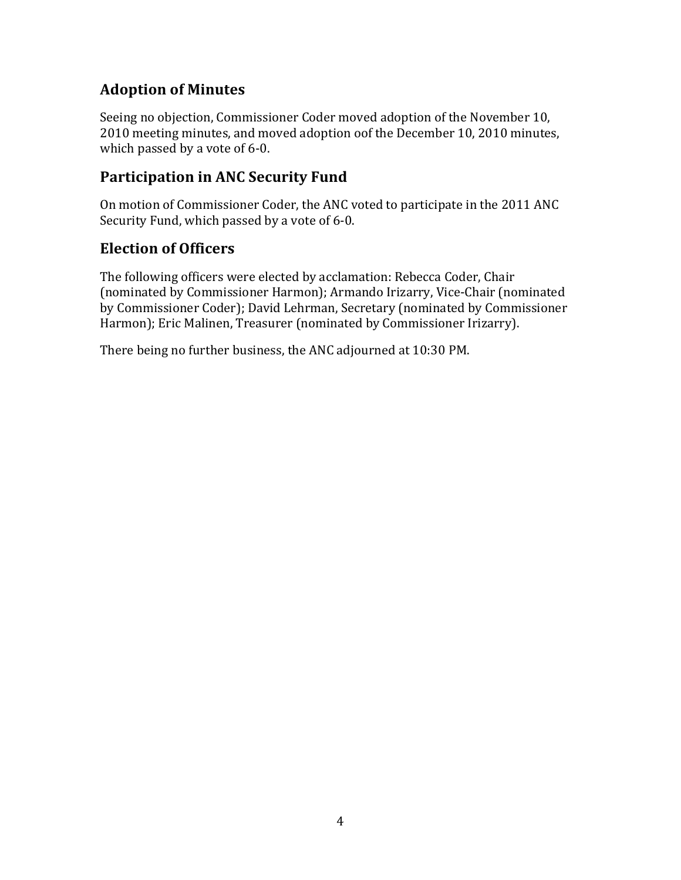### **Adoption of Minutes**

Seeing no objection, Commissioner Coder moved adoption of the November 10, 2010 meeting minutes, and moved adoption oof the December 10, 2010 minutes, which passed by a vote of  $6-0$ .

### **Participation in ANC Security Fund**

On motion of Commissioner Coder, the ANC voted to participate in the 2011 ANC Security Fund, which passed by a vote of 6-0.

### **Election of Officers**

The following officers were elected by acclamation: Rebecca Coder, Chair (nominated by Commissioner Harmon); Armando Irizarry, Vice-Chair (nominated by Commissioner Coder); David Lehrman, Secretary (nominated by Commissioner Harmon); Eric Malinen, Treasurer (nominated by Commissioner Irizarry).

There being no further business, the ANC adjourned at 10:30 PM.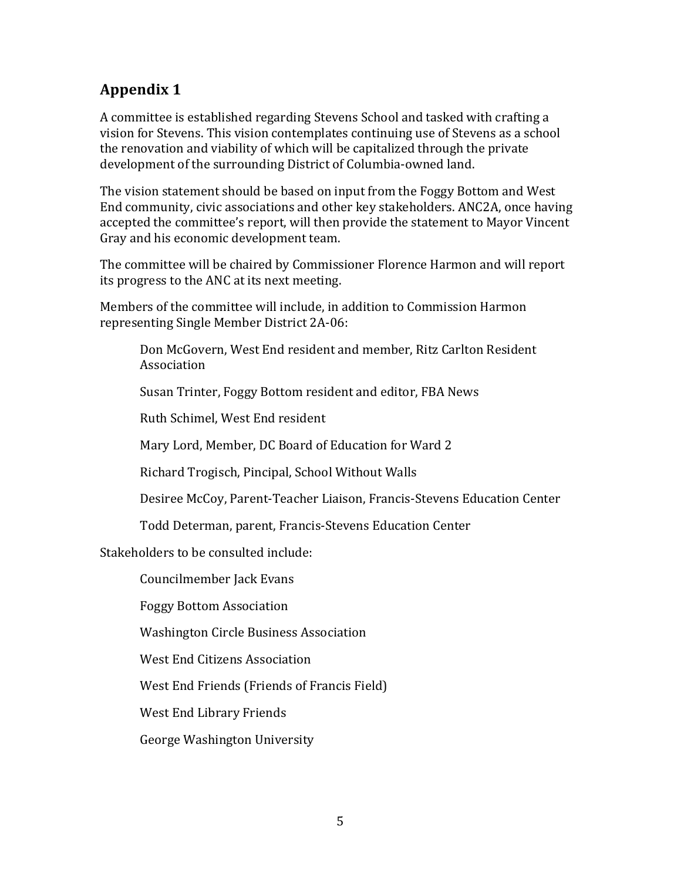A committee is established regarding Stevens School and tasked with crafting a vision for Stevens. This vision contemplates continuing use of Stevens as a school the renovation and viability of which will be capitalized through the private development of the surrounding District of Columbia-owned land.

The vision statement should be based on input from the Foggy Bottom and West End community, civic associations and other key stakeholders. ANC2A, once having accepted the committee's report, will then provide the statement to Mayor Vincent Gray and his economic development team.

The committee will be chaired by Commissioner Florence Harmon and will report its progress to the ANC at its next meeting.

Members of the committee will include, in addition to Commission Harmon representing Single Member District 2A-06:

Don McGovern, West End resident and member, Ritz Carlton Resident Association

Susan Trinter, Foggy Bottom resident and editor, FBA News

Ruth Schimel, West End resident

Mary Lord, Member, DC Board of Education for Ward 2

Richard Trogisch, Pincipal, School Without Walls

Desiree McCoy, Parent-Teacher Liaison, Francis-Stevens Education Center

Todd Determan, parent, Francis-Stevens Education Center

Stakeholders to be consulted include:

Councilmember Jack Evans

Foggy Bottom Association

Washington Circle Business Association

West End Citizens Association

West End Friends (Friends of Francis Field)

West End Library Friends

George Washington University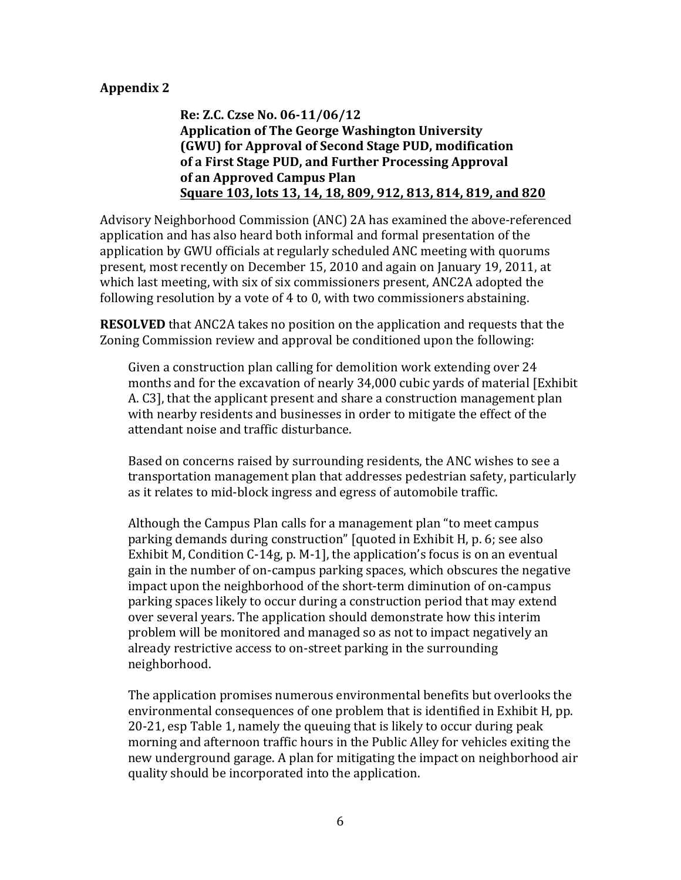**Re: Z.C. Czse No. 06-11/06/12 Application of The George Washington University (GWU)** for Approval of Second Stage PUD, modification of a First Stage PUD, and Further Processing Approval of an Approved Campus Plan **Square 103, lots 13, 14, 18, 809, 912, 813, 814, 819, and 820** 

Advisory Neighborhood Commission (ANC) 2A has examined the above-referenced application and has also heard both informal and formal presentation of the application by GWU officials at regularly scheduled ANC meeting with quorums present, most recently on December 15, 2010 and again on January 19, 2011, at which last meeting, with six of six commissioners present, ANC2A adopted the following resolution by a vote of  $4$  to  $0$ , with two commissioners abstaining.

**RESOLVED** that ANC2A takes no position on the application and requests that the Zoning Commission review and approval be conditioned upon the following:

Given a construction plan calling for demolition work extending over 24 months and for the excavation of nearly 34,000 cubic yards of material [Exhibit] A. C3], that the applicant present and share a construction management plan with nearby residents and businesses in order to mitigate the effect of the attendant noise and traffic disturbance.

Based on concerns raised by surrounding residents, the ANC wishes to see a transportation management plan that addresses pedestrian safety, particularly as it relates to mid-block ingress and egress of automobile traffic.

Although the Campus Plan calls for a management plan "to meet campus" parking demands during construction" [quoted in Exhibit H, p. 6; see also Exhibit M, Condition C-14g, p. M-1], the application's focus is on an eventual gain in the number of on-campus parking spaces, which obscures the negative impact upon the neighborhood of the short-term diminution of on-campus parking spaces likely to occur during a construction period that may extend over several years. The application should demonstrate how this interim problem will be monitored and managed so as not to impact negatively an already restrictive access to on-street parking in the surrounding neighborhood.

The application promises numerous environmental benefits but overlooks the environmental consequences of one problem that is identified in Exhibit H, pp. 20-21, esp Table 1, namely the queuing that is likely to occur during peak morning and afternoon traffic hours in the Public Alley for vehicles exiting the new underground garage. A plan for mitigating the impact on neighborhood air quality should be incorporated into the application.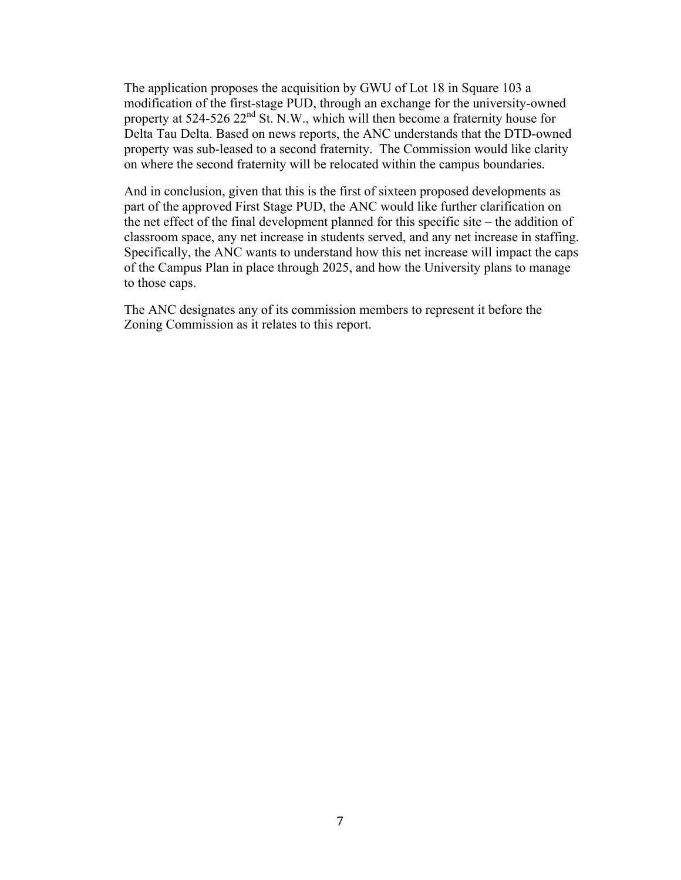The application proposes the acquisition by GWU of Lot 18 in Square 103 a modification of the first-stage PUD, through an exchange for the university-owned property at  $524-526$   $22<sup>nd</sup>$  St. N.W., which will then become a fraternity house for Delta Tau Delta. Based on news reports, the ANC understands that the DTD-owned property was sub-leased to a second fraternity. The Commission would like clarity on where the second fraternity will be relocated within the campus boundaries.

And in conclusion, given that this is the first of sixteen proposed developments as part of the approved First Stage PUD, the ANC would like further clarification on the net effect of the final development planned for this specific site – the addition of classroom space, any net increase in students served, and any net increase in staffing. Specifically, the ANC wants to understand how this net increase will impact the caps of the Campus Plan in place through 2025, and how the University plans to manage to those caps.

The ANC designates any of its commission members to represent it before the Zoning Commission as it relates to this report.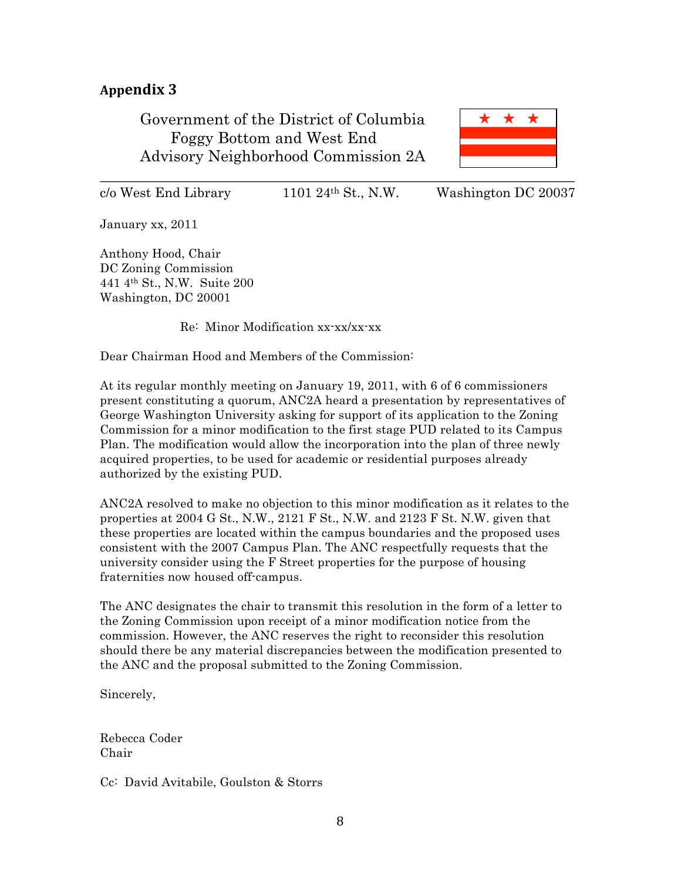Government of the District of Columbia Foggy Bottom and West End Advisory Neighborhood Commission 2A



 $c/\text{o}$  West End Library 1101 24<sup>th</sup> St., N.W. Washington DC 20037

January xx, 2011

Anthony Hood, Chair DC Zoning Commission 441 4th St., N.W. Suite 200 Washington, DC 20001

Re: Minor Modification xx-xx/xx-xx

Dear Chairman Hood and Members of the Commission:

At its regular monthly meeting on January 19, 2011, with 6 of 6 commissioners present constituting a quorum, ANC2A heard a presentation by representatives of George Washington University asking for support of its application to the Zoning Commission for a minor modification to the first stage PUD related to its Campus Plan. The modification would allow the incorporation into the plan of three newly acquired properties, to be used for academic or residential purposes already authorized by the existing PUD.

ANC2A resolved to make no objection to this minor modification as it relates to the properties at 2004 G St., N.W., 2121 F St., N.W. and 2123 F St. N.W. given that these properties are located within the campus boundaries and the proposed uses consistent with the 2007 Campus Plan. The ANC respectfully requests that the university consider using the F Street properties for the purpose of housing fraternities now housed off-campus.

The ANC designates the chair to transmit this resolution in the form of a letter to the Zoning Commission upon receipt of a minor modification notice from the commission. However, the ANC reserves the right to reconsider this resolution should there be any material discrepancies between the modification presented to the ANC and the proposal submitted to the Zoning Commission.

Sincerely,

Rebecca Coder Chair

Cc: David Avitabile, Goulston & Storrs